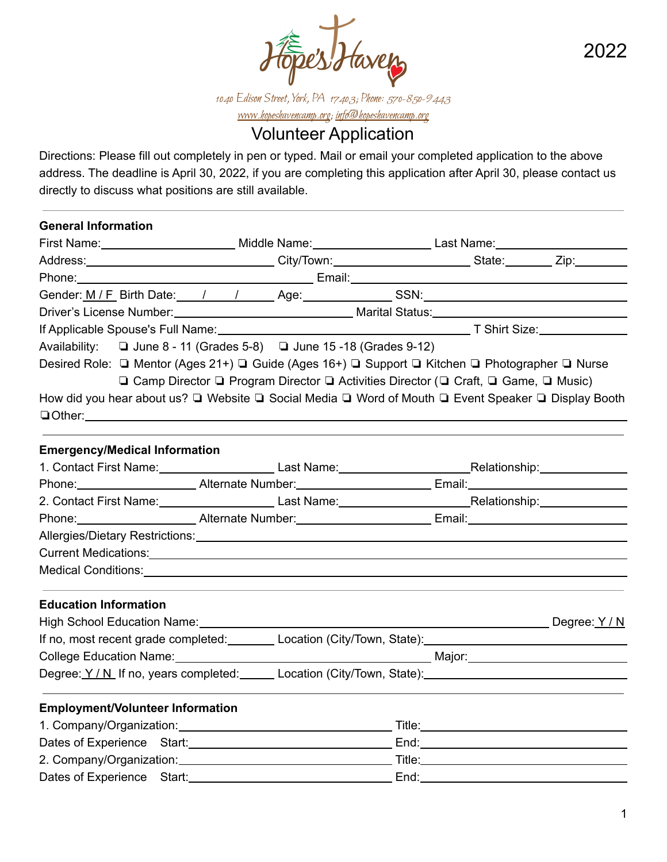

2022

1040 Edison Street, York, PA 17403; Phone: 570-850-9443 [www.hopeshavencamp.org](http://www.hopeshavencamp.org); info@hopeshavencamp.org

# Volunteer Application

Directions: Please fill out completely in pen or typed. Mail or email your completed application to the above address. The deadline is April 30, 2022, if you are completing this application after April 30, please contact us directly to discuss what positions are still available.

| <b>General Information</b>              |                                                                                                                                                                                                                                |  |  |
|-----------------------------------------|--------------------------------------------------------------------------------------------------------------------------------------------------------------------------------------------------------------------------------|--|--|
|                                         | First Name: _____________________________Middle Name: __________________________Last Name: ___________________                                                                                                                 |  |  |
|                                         | Address: _________________________________City/Town: __________________________State: _________ Zip:__________                                                                                                                 |  |  |
|                                         | Phone: Note: Note: Note: Note: Note: Note: Note: Note: Note: Note: Note: Note: Note: Note: Note: Note: Note: Note: Note: Note: Note: Note: Note: Note: Note: Note: Note: Note: Note: Note: Note: Note: Note: Note: Note: Note: |  |  |
|                                         | Gender: <u>M / F</u> Birth Date: 1 1 / Age: SSN: SSN: SSN: Network Birth Date:                                                                                                                                                 |  |  |
|                                         | Driver's License Number: Marial Status: Marital Status: Marital Status: Marital Status: Marital Status: Marital Status: Marital Status: Marital Status: Marital Status: Marital Status: Marital Status: Marital Status: Marita |  |  |
|                                         |                                                                                                                                                                                                                                |  |  |
|                                         | Availability: $\Box$ June 8 - 11 (Grades 5-8) $\Box$ June 15 -18 (Grades 9-12)                                                                                                                                                 |  |  |
|                                         | Desired Role: □ Mentor (Ages 21+) □ Guide (Ages 16+) □ Support □ Kitchen □ Photographer □ Nurse                                                                                                                                |  |  |
|                                         | <b>□ Camp Director □ Program Director □ Activities Director (□ Craft, □ Game, □ Music)</b>                                                                                                                                     |  |  |
|                                         | How did you hear about us? $\Box$ Website $\Box$ Social Media $\Box$ Word of Mouth $\Box$ Event Speaker $\Box$ Display Booth                                                                                                   |  |  |
|                                         |                                                                                                                                                                                                                                |  |  |
|                                         |                                                                                                                                                                                                                                |  |  |
| <b>Emergency/Medical Information</b>    |                                                                                                                                                                                                                                |  |  |
|                                         | 1. Contact First Name: Last Name: Last Name: Relationship: Relationship:                                                                                                                                                       |  |  |
|                                         | Phone: Alternate Number: Email: Email: Email: Email: Alternate Number: Email: Alternate Number: Email: Alternate Number: Alternate Number: Alternate Number: Alternate Number: Alternate Number: Alternate Number: Alternate N |  |  |
|                                         | 2. Contact First Name: Last Name: Last Name: Relationship: Relationship:                                                                                                                                                       |  |  |
|                                         | Phone: Alternate Number: Email: Email: Email: Email: Alternate Number: Email: Alternate Number 2014                                                                                                                            |  |  |
|                                         | Allergies/Dietary Restrictions: University of the Contract of the Contract of the Contract of the Contract of                                                                                                                  |  |  |
|                                         |                                                                                                                                                                                                                                |  |  |
|                                         |                                                                                                                                                                                                                                |  |  |
|                                         |                                                                                                                                                                                                                                |  |  |
| <b>Education Information</b>            |                                                                                                                                                                                                                                |  |  |
|                                         |                                                                                                                                                                                                                                |  |  |
|                                         | If no, most recent grade completed: Let Location (City/Town, State): Let Discourse messes and the property of                                                                                                                  |  |  |
|                                         |                                                                                                                                                                                                                                |  |  |
|                                         | Degree: Y/N If no, years completed: Let Location (City/Town, State): Let Degree: Y/N If no, years completed: Let Location (City/Town, State):                                                                                  |  |  |
| <b>Employment/Volunteer Information</b> |                                                                                                                                                                                                                                |  |  |
|                                         |                                                                                                                                                                                                                                |  |  |
|                                         |                                                                                                                                                                                                                                |  |  |
|                                         |                                                                                                                                                                                                                                |  |  |
| Dates of Experience Start:              |                                                                                                                                                                                                                                |  |  |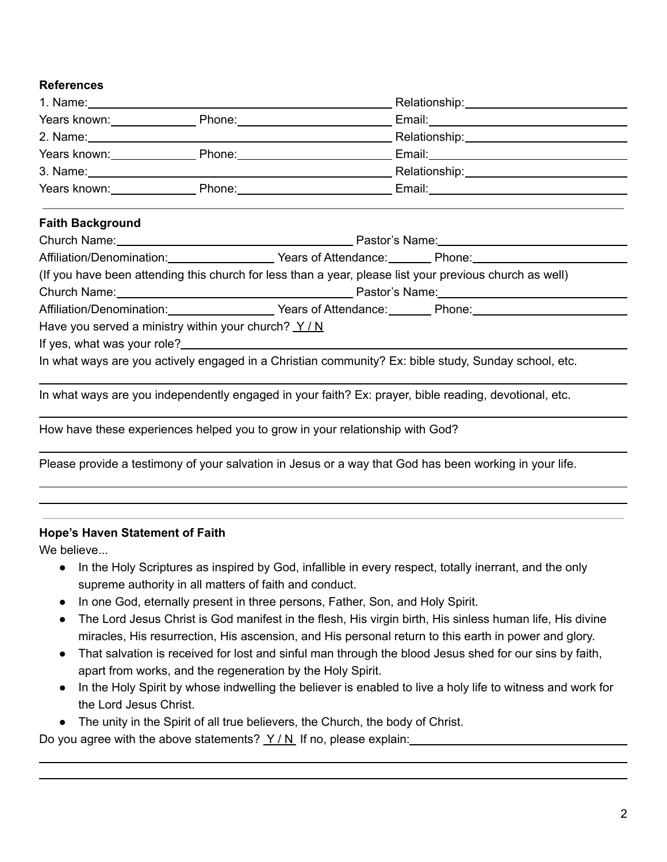### **References**

|                                                      |  |                                                                              | Years known: Notice Theoretic Phone: Note that the Email: Note that the Contract of the Contract of the Contract of Contract of the Contract of Contract of the Contract of Contract of Contract of Contract of Contract of Co |  |  |
|------------------------------------------------------|--|------------------------------------------------------------------------------|--------------------------------------------------------------------------------------------------------------------------------------------------------------------------------------------------------------------------------|--|--|
|                                                      |  |                                                                              |                                                                                                                                                                                                                                |  |  |
|                                                      |  |                                                                              |                                                                                                                                                                                                                                |  |  |
| <b>Faith Background</b>                              |  |                                                                              |                                                                                                                                                                                                                                |  |  |
|                                                      |  |                                                                              |                                                                                                                                                                                                                                |  |  |
|                                                      |  |                                                                              |                                                                                                                                                                                                                                |  |  |
|                                                      |  |                                                                              | (If you have been attending this church for less than a year, please list your previous church as well)                                                                                                                        |  |  |
|                                                      |  |                                                                              |                                                                                                                                                                                                                                |  |  |
|                                                      |  |                                                                              | Affiliation/Denomination: Vears of Attendance: Phone: Phone:                                                                                                                                                                   |  |  |
| Have you served a ministry within your church? $Y/N$ |  |                                                                              |                                                                                                                                                                                                                                |  |  |
|                                                      |  |                                                                              |                                                                                                                                                                                                                                |  |  |
|                                                      |  |                                                                              | In what ways are you actively engaged in a Christian community? Ex: bible study, Sunday school, etc.                                                                                                                           |  |  |
|                                                      |  |                                                                              | In what ways are you independently engaged in your faith? Ex: prayer, bible reading, devotional, etc.                                                                                                                          |  |  |
|                                                      |  | How have these experiences helped you to grow in your relationship with God? |                                                                                                                                                                                                                                |  |  |

Please provide a testimony of your salvation in Jesus or a way that God has been working in your life.

#### **Hope's Haven Statement of Faith**

We believe...

- In the Holy Scriptures as inspired by God, infallible in every respect, totally inerrant, and the only supreme authority in all matters of faith and conduct.
- In one God, eternally present in three persons, Father, Son, and Holy Spirit.
- The Lord Jesus Christ is God manifest in the flesh, His virgin birth, His sinless human life, His divine miracles, His resurrection, His ascension, and His personal return to this earth in power and glory.
- That salvation is received for lost and sinful man through the blood Jesus shed for our sins by faith, apart from works, and the regeneration by the Holy Spirit.
- In the Holy Spirit by whose indwelling the believer is enabled to live a holy life to witness and work for the Lord Jesus Christ.
- The unity in the Spirit of all true believers, the Church, the body of Christ.

Do you agree with the above statements?  $Y/N$  If no, please explain: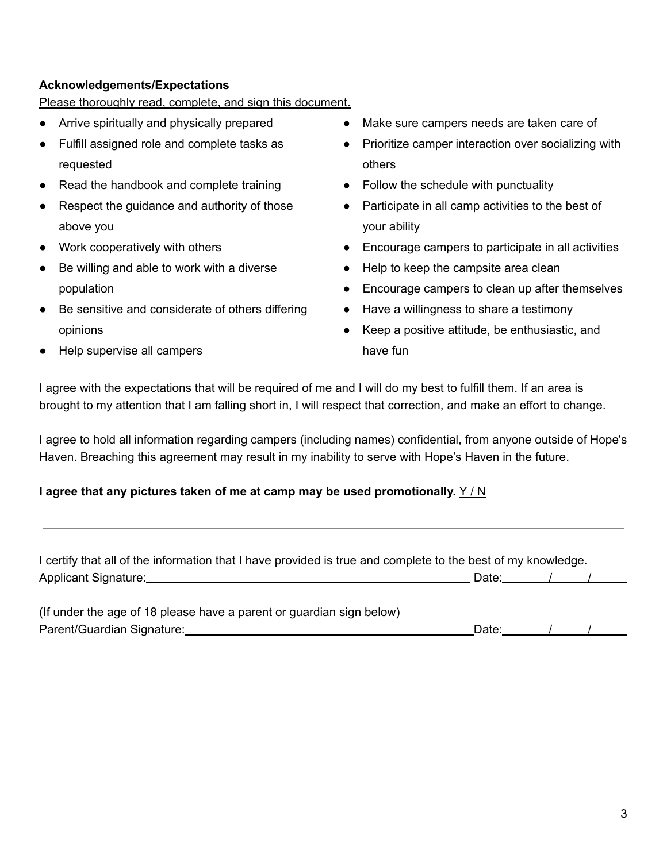### **Acknowledgements/Expectations**

Please thoroughly read, complete, and sign this document.

- Arrive spiritually and physically prepared
- Fulfill assigned role and complete tasks as requested
- Read the handbook and complete training
- Respect the quidance and authority of those above you
- Work cooperatively with others
- Be willing and able to work with a diverse population
- Be sensitive and considerate of others differing opinions
- Help supervise all campers
- Make sure campers needs are taken care of
- Prioritize camper interaction over socializing with others
- Follow the schedule with punctuality
- Participate in all camp activities to the best of your ability
- Encourage campers to participate in all activities
- Help to keep the campsite area clean
- Encourage campers to clean up after themselves
- Have a willingness to share a testimony
- Keep a positive attitude, be enthusiastic, and have fun

I agree with the expectations that will be required of me and I will do my best to fulfill them. If an area is brought to my attention that I am falling short in, I will respect that correction, and make an effort to change.

I agree to hold all information regarding campers (including names) confidential, from anyone outside of Hope's Haven. Breaching this agreement may result in my inability to serve with Hope's Haven in the future.

## **I agree that any pictures taken of me at camp may be used promotionally.** Y / N

| I certify that all of the information that I have provided is true and complete to the best of my knowledge.                                                                                                                   |                                    |  |  |
|--------------------------------------------------------------------------------------------------------------------------------------------------------------------------------------------------------------------------------|------------------------------------|--|--|
| Applicant Signature: New York School School School School School School School School School School School School School School School School School School School School School School School School School School School Sch | Date: $\qquad \qquad$ / $\qquad$ / |  |  |
| (If under the age of 18 please have a parent or guardian sign below)                                                                                                                                                           |                                    |  |  |
| Parent/Guardian Signature:                                                                                                                                                                                                     | Date:                              |  |  |